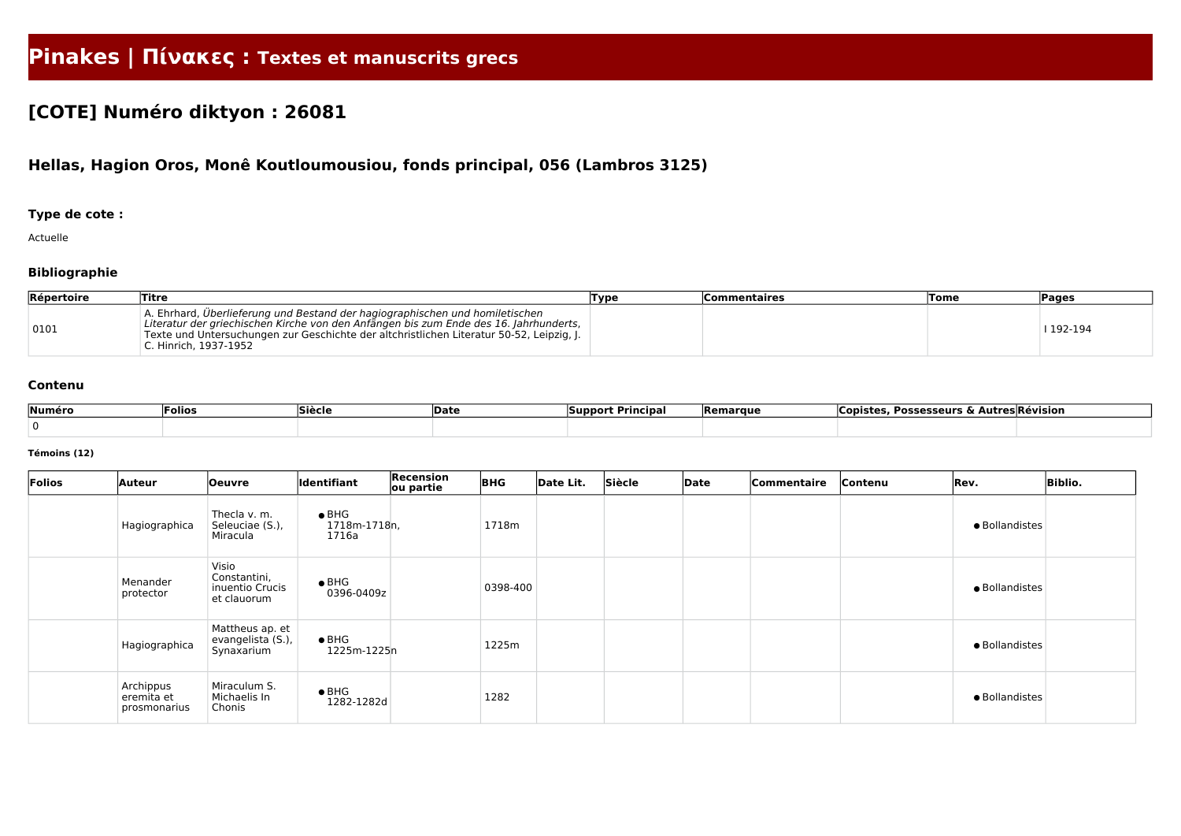# **Pinakes | Πίνακες : Textes et manuscrits grecs**

## **[COTE] Numéro diktyon : 26081**

## **Hellas, Hagion Oros, Monê Koutloumousiou, fonds principal, 056 (Lambros 3125)**

### **Type de cote :**

Actuelle

### **Bibliographie**

| <b>Répertoire</b> | Titre                                                                                                                                                                                                                                                                                      | Type | Commentaires | <b>Tome</b> | <b>Pages</b> |
|-------------------|--------------------------------------------------------------------------------------------------------------------------------------------------------------------------------------------------------------------------------------------------------------------------------------------|------|--------------|-------------|--------------|
| 0101              | A. Ehrhard, Überlieferung und Bestand der hagiographischen und homiletischen<br>Literatur der griechischen Kirche von den Anfängen bis zum Ende des 16. Jahrhunderts,<br>Texte und Untersuchungen zur Geschichte der altchristlichen Literatur 50-52, Leipzig, J.<br>C. Hinrich. 1937-1952 |      |              |             | 192-194      |

#### **Contenu**

| Numéro | <sup>:</sup> olios | Siècle | <b>Date</b> | : Principal<br>Support | <b>Remarque</b> | Possesseurs & A.<br>Copiste: | <b>AutresRevision</b> |
|--------|--------------------|--------|-------------|------------------------|-----------------|------------------------------|-----------------------|
|        |                    |        |             |                        |                 |                              |                       |

#### **Témoins (12)**

| Folios | <b>Auteur</b>                           | <b>Oeuvre</b>                                           | Identifiant                            | Recension<br>ou partie | <b>BHG</b> | Date Lit. | Siècle | Date | Commentaire | Contenu | Rev.           | <b>Biblio.</b> |
|--------|-----------------------------------------|---------------------------------------------------------|----------------------------------------|------------------------|------------|-----------|--------|------|-------------|---------|----------------|----------------|
|        | Hagiographica                           | Thecla v. m.<br>Seleuciae (S.),<br>Miracula             | $\bullet$ BHG<br>1718m-1718n,<br>1716a |                        | 1718m      |           |        |      |             |         | · Bollandistes |                |
|        | Menander<br>protector                   | Visio<br>Constantini,<br>inuentio Crucis<br>et clauorum | $\bullet$ BHG<br>0396-0409z            |                        | 0398-400   |           |        |      |             |         | · Bollandistes |                |
|        | Hagiographica                           | Mattheus ap. et<br>evangelista (S.),<br>Synaxarium      | $\bullet$ BHG<br>1225m-1225n           |                        | 1225m      |           |        |      |             |         | · Bollandistes |                |
|        | Archippus<br>eremita et<br>prosmonarius | Miraculum S.<br>Michaelis In<br>Chonis                  | $\bullet$ BHG<br>1282-1282d            |                        | 1282       |           |        |      |             |         | · Bollandistes |                |